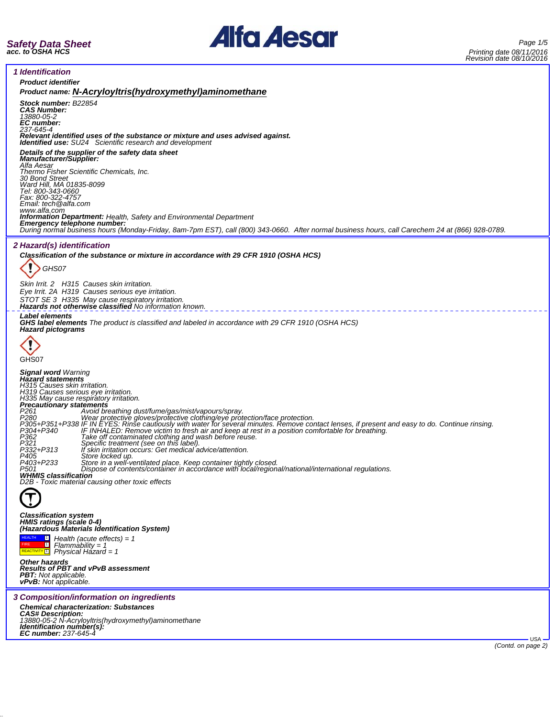



٦

| <i><u><b>Identification</b></u></i> |  |
|-------------------------------------|--|

i,

| <i><b>1 Identification</b></i>                                                                                                                                                                                                                                                                                                                                                                                                                                                                                                                                                                                                                                                                                                                                                                                                                  |
|-------------------------------------------------------------------------------------------------------------------------------------------------------------------------------------------------------------------------------------------------------------------------------------------------------------------------------------------------------------------------------------------------------------------------------------------------------------------------------------------------------------------------------------------------------------------------------------------------------------------------------------------------------------------------------------------------------------------------------------------------------------------------------------------------------------------------------------------------|
| <b>Product identifier</b>                                                                                                                                                                                                                                                                                                                                                                                                                                                                                                                                                                                                                                                                                                                                                                                                                       |
| Product name: N-AcryloyItris(hydroxymethyl)aminomethane                                                                                                                                                                                                                                                                                                                                                                                                                                                                                                                                                                                                                                                                                                                                                                                         |
| Stock number: B22854<br><b>CAS Number:</b><br>13880-05-2<br>EC number:<br>237-645-4                                                                                                                                                                                                                                                                                                                                                                                                                                                                                                                                                                                                                                                                                                                                                             |
| Relevant identified uses of the substance or mixture and uses advised against.<br><b>Identified use:</b> SU24 Scientific research and development                                                                                                                                                                                                                                                                                                                                                                                                                                                                                                                                                                                                                                                                                               |
| Details of the supplier of the safety data sheet<br>Manufacturer/Supplier:<br>Alfa Aesar                                                                                                                                                                                                                                                                                                                                                                                                                                                                                                                                                                                                                                                                                                                                                        |
| Thermo Fisher Scientific Chemicals, Inc.<br><b>30 Bond Street</b>                                                                                                                                                                                                                                                                                                                                                                                                                                                                                                                                                                                                                                                                                                                                                                               |
| Ward Hill, MA 01835-8099<br>Tel: 800-343-0660<br>Fax: 800-322-4757                                                                                                                                                                                                                                                                                                                                                                                                                                                                                                                                                                                                                                                                                                                                                                              |
| Email: tech @alfa.com<br>www.alfa.com                                                                                                                                                                                                                                                                                                                                                                                                                                                                                                                                                                                                                                                                                                                                                                                                           |
| <b>Information Department:</b> Health, Safety and Environmental Department                                                                                                                                                                                                                                                                                                                                                                                                                                                                                                                                                                                                                                                                                                                                                                      |
| Emergency telephone number:<br>During normal business hours (Monday-Friday, 8am-7pm EST), call (800) 343-0660. After normal business hours, call Carechem 24 at (866) 928-0789.                                                                                                                                                                                                                                                                                                                                                                                                                                                                                                                                                                                                                                                                 |
| <i><b>2 Hazard(s) identification</b></i>                                                                                                                                                                                                                                                                                                                                                                                                                                                                                                                                                                                                                                                                                                                                                                                                        |
| Classification of the substance or mixture in accordance with 29 CFR 1910 (OSHA HCS)                                                                                                                                                                                                                                                                                                                                                                                                                                                                                                                                                                                                                                                                                                                                                            |
|                                                                                                                                                                                                                                                                                                                                                                                                                                                                                                                                                                                                                                                                                                                                                                                                                                                 |
| GHS07                                                                                                                                                                                                                                                                                                                                                                                                                                                                                                                                                                                                                                                                                                                                                                                                                                           |
| Skin Irrit. 2 H315 Causes skin irritation.                                                                                                                                                                                                                                                                                                                                                                                                                                                                                                                                                                                                                                                                                                                                                                                                      |
| Eye Irrit. 2A H319 Causes serious eye irritation.                                                                                                                                                                                                                                                                                                                                                                                                                                                                                                                                                                                                                                                                                                                                                                                               |
| STOT SE 3 H335 May cause respiratory irritation.<br>Hazards not otherwise classified No information known.                                                                                                                                                                                                                                                                                                                                                                                                                                                                                                                                                                                                                                                                                                                                      |
| <b>Label elements</b><br><b>GHS label elements</b> The product is classified and labeled in accordance with 29 CFR 1910 (OSHA HCS)<br><b>Hazard pictograms</b>                                                                                                                                                                                                                                                                                                                                                                                                                                                                                                                                                                                                                                                                                  |
|                                                                                                                                                                                                                                                                                                                                                                                                                                                                                                                                                                                                                                                                                                                                                                                                                                                 |
| GHS07                                                                                                                                                                                                                                                                                                                                                                                                                                                                                                                                                                                                                                                                                                                                                                                                                                           |
| <b>Signal word Warning</b><br><b>Hazard statements</b><br>H315 Causes skin irritation.<br>H319 Causes serious eye irritation.<br>H335 May cause respiratory irritation.<br>Precautionary statements<br>Frecentium y statements<br>P280 Mode breathing dust/fume/gas/mist/vapours/spray,<br>P280 Wear protective gloves/protective clothing/eye protection/face protection.<br>P305+P351+P338 IF IN EYES: Rinse cautiously with water for sever<br>P362<br>P321<br>Take off contaminated clothing and wash before reuse.<br>Specific treatment (see on this label).<br>If skin irritation occurs: Get medical advice/attention.<br>P332+P313<br>P405<br>Store locked up.<br>Store locked up.<br>Dispose of contents/container in accordance with local/regional/national/international regulations.<br>P403+P233<br>P501<br>WHMIS classification |
| D2B - Toxic material causing other toxic effects                                                                                                                                                                                                                                                                                                                                                                                                                                                                                                                                                                                                                                                                                                                                                                                                |
|                                                                                                                                                                                                                                                                                                                                                                                                                                                                                                                                                                                                                                                                                                                                                                                                                                                 |
| <b>Classification system</b><br>HMIS ratings (scale 0-4)<br>(Hazardous Materials Identification System)                                                                                                                                                                                                                                                                                                                                                                                                                                                                                                                                                                                                                                                                                                                                         |
| $\Box$ Health (acute effects) = 1<br>$\overline{\mathbf{1}}$<br>$Flammablity = 1$<br>$R$ <sup>REACTIVITY<sup>1</sup> Physical Hazard = 1</sup>                                                                                                                                                                                                                                                                                                                                                                                                                                                                                                                                                                                                                                                                                                  |
| <b>Other hazards</b><br>Results of PBT and vPvB assessment<br><b>PBT:</b> Not applicable.<br><b>vPvB:</b> Not applicable.                                                                                                                                                                                                                                                                                                                                                                                                                                                                                                                                                                                                                                                                                                                       |
| 3 Composition/information on ingredients                                                                                                                                                                                                                                                                                                                                                                                                                                                                                                                                                                                                                                                                                                                                                                                                        |
| <b>Chemical characterization: Substances</b>                                                                                                                                                                                                                                                                                                                                                                                                                                                                                                                                                                                                                                                                                                                                                                                                    |
| CAS# Description:<br>13880-05-2 N-Acryloyltris(hydroxymethyl)aminomethane<br>Identification number(s):<br>EC number: 237-645-4                                                                                                                                                                                                                                                                                                                                                                                                                                                                                                                                                                                                                                                                                                                  |
| USA -                                                                                                                                                                                                                                                                                                                                                                                                                                                                                                                                                                                                                                                                                                                                                                                                                                           |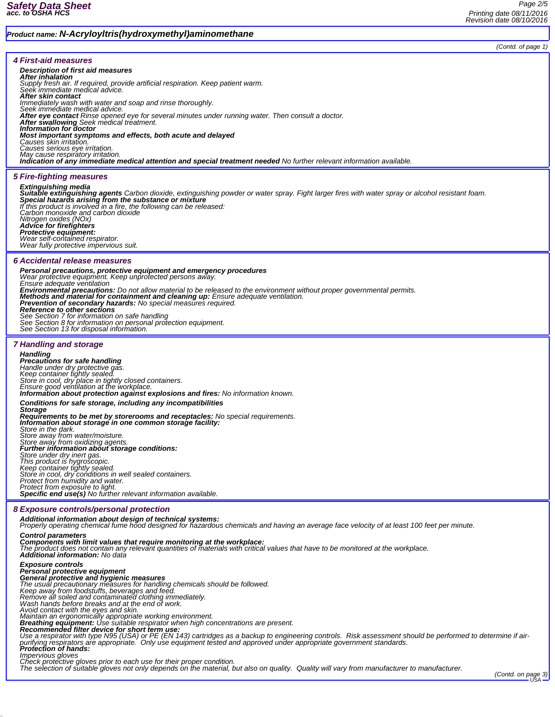|                                                                                                                                                                                                                                            | (Contd. of page 1) |
|--------------------------------------------------------------------------------------------------------------------------------------------------------------------------------------------------------------------------------------------|--------------------|
| 4 First-aid measures                                                                                                                                                                                                                       |                    |
| Description of first aid measures                                                                                                                                                                                                          |                    |
| After inhalation<br>Supply fresh air. If required, provide artificial respiration. Keep patient warm.                                                                                                                                      |                    |
| Seek immediate medical advice.                                                                                                                                                                                                             |                    |
| After skin contact<br>Immediately wash with water and soap and rinse thoroughly.                                                                                                                                                           |                    |
| Seek immediate medical advice.<br>After eye contact Rinse opened eye for several minutes under running water. Then consult a doctor.                                                                                                       |                    |
| <b>After swallowing</b> Seek medical treatment.<br>Information for doctor                                                                                                                                                                  |                    |
| Most important symptoms and effects, both acute and delayed<br>Causes skin irritation.                                                                                                                                                     |                    |
| Causes serious eye irritation.                                                                                                                                                                                                             |                    |
| May cause respiratory irritation.<br>Indication of any immediate medical attention and special treatment needed No further relevant information available.                                                                                 |                    |
| <b>5 Fire-fighting measures</b>                                                                                                                                                                                                            |                    |
| Extinguishing media                                                                                                                                                                                                                        |                    |
| Suitable extinguishing agents Carbon dioxide, extinguishing powder or water spray. Fight larger fires with water spray or alcohol resistant foam.<br>Special hazards arising from the substance or mixture                                 |                    |
| If this product is involved in a fire, the following can be released:<br>Carbon monoxide and carbon dioxide                                                                                                                                |                    |
| Nitrogen oxides (NOx)                                                                                                                                                                                                                      |                    |
| <b>Advice for firefighters</b><br>Protective equipment:                                                                                                                                                                                    |                    |
| Wear self-contained respirator.<br>Wear fully protective impervious suit.                                                                                                                                                                  |                    |
| 6 Accidental release measures                                                                                                                                                                                                              |                    |
| Personal precautions, protective equipment and emergency procedures<br>Wear protective equipment. Keep unprotected persons away.                                                                                                           |                    |
| Ensure adequate ventilation                                                                                                                                                                                                                |                    |
| Environmental precautions: Do not allow material to be released to the environment without proper governmental permits.<br>Methods and material for containment and cleaning up: Ensure adequate ventilation.                              |                    |
| Prevention of secondary hazards: No special measures required.                                                                                                                                                                             |                    |
| Reference to other sections<br>See Section 7 for information on safe handling                                                                                                                                                              |                    |
| See Section 8 for information on personal protection equipment.<br>See Section 13 for disposal information.                                                                                                                                |                    |
| <b>7 Handling and storage</b>                                                                                                                                                                                                              |                    |
| <b>Handling</b>                                                                                                                                                                                                                            |                    |
| Precautions for safe handling<br>Handle under dry protective gas.                                                                                                                                                                          |                    |
| Keep container tightly sealed.<br>Store in cool, dry place in tightly closed containers.                                                                                                                                                   |                    |
| Ensure good ventilation at the workplace.                                                                                                                                                                                                  |                    |
| <b>Information about protection against explosions and fires:</b> No information known.<br>Conditions for safe storage, including any incompatibilities                                                                                    |                    |
| <b>Storage</b>                                                                                                                                                                                                                             |                    |
| <b>Requirements to be met by storerooms and receptacles:</b> No special requirements.<br>Information about storage in one common storage facility:                                                                                         |                    |
| Store in the dark.<br>Store away from water/moisture.                                                                                                                                                                                      |                    |
| Store away from oxidizing agents.<br><b>Further information about storage conditions:</b>                                                                                                                                                  |                    |
| Store under dry inert gas.                                                                                                                                                                                                                 |                    |
|                                                                                                                                                                                                                                            |                    |
| This product is hygroscopic.<br>Keep container tightly sealed.<br>Store in cool, dry conditions in well sealed containers.<br>Protect from humidity and water.                                                                             |                    |
| Protect from exposure to light.<br>Specific end use(s) No further relevant information available.                                                                                                                                          |                    |
| 8 Exposure controls/personal protection                                                                                                                                                                                                    |                    |
| Additional information about design of technical systems:                                                                                                                                                                                  |                    |
| Properly operating chemical fume hood designed for hazardous chemicals and having an average face velocity of at least 100 feet per minute.<br><b>Control parameters</b>                                                                   |                    |
| Components with limit values that require monitoring at the workplace:                                                                                                                                                                     |                    |
| The product does not contain any relevant quantities of materials with critical values that have to be monitored at the workplace.<br>Additional information: No data                                                                      |                    |
| <b>Exposure controls</b><br>Personal protective equipment                                                                                                                                                                                  |                    |
| General protective and hygienic measures                                                                                                                                                                                                   |                    |
| The usual precautionary measures for handling chemicals should be followed.<br>Keep away from foodstuffs, beverages and feed.                                                                                                              |                    |
| Remove all soiled and contaminated clothing immediately.<br>Wash hands before breaks and at the end of work.<br>Avoid contact with the eyes and skin.                                                                                      |                    |
| Maintain an ergonomically appropriate working environment.                                                                                                                                                                                 |                    |
| Breathing equipment: Use suitable respirator when high concentrations are present.<br>Recommended filter device for short term use:                                                                                                        |                    |
| Use a respirator with type N95 (USA) or PE (EN 143) cartridges as a backup to engineering controls. Risk assessment should be performed to determine if air-                                                                               |                    |
| purifying respirators are appropriate. Only use equipment tested and approved under appropriate government standards.<br><b>Protection of hands:</b>                                                                                       |                    |
| Impervious gloves<br>Check protective gloves prior to each use for their proper condition.<br>The selection of suitable gloves not only depends on the material, but also on quality. Quality will vary from manufacturer to manufacturer. |                    |
|                                                                                                                                                                                                                                            | (Contd. on page 3) |
|                                                                                                                                                                                                                                            | <b>USA</b>         |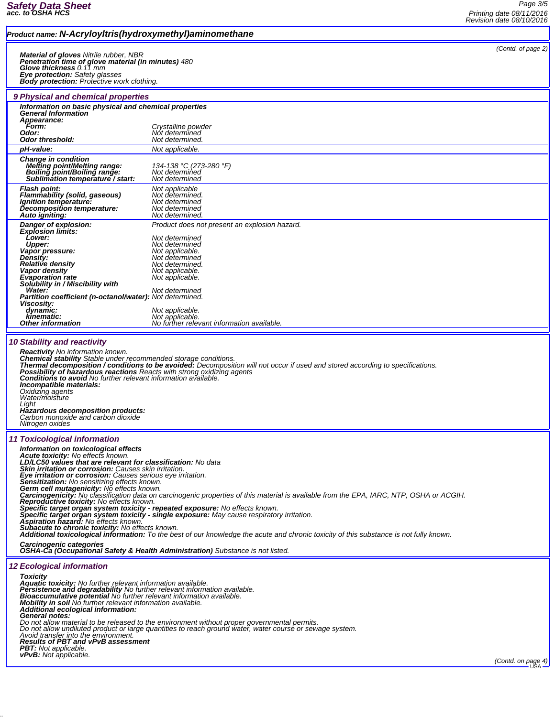## *Product name: N-Acryloyltris(hydroxymethyl)aminomethane*

*Material of gloves Nitrile rubber, NBR<br>Penetration time of glove material (in minutes) 480<br>Glove thickness 0.11 mm<br>Eye protection: Safety glasses<br>Body protection: Protective work clothing.* 

*Information on basic physical and chemical properties General Information Appearance: Form: Crystalline powder Odor: Not determined Odor: Not determined.*<br> *Odor threshold: Not determined. pH-value: Not applicable.*

*9 Physical and chemical properties*

*(Contd. of page 2)*

| <b>Change in condition</b><br><b>Melting point/Melting range:</b><br>Boiling point/Boiling range:<br>Sublimation temperature / start:                                                                                                                                                                                                                                                                                                                                                                                                                                                                                                                                          | 134-138 °C (273-280 °F)<br>Not determined<br>Not determined                                                                                                                                                                                                                           |  |
|--------------------------------------------------------------------------------------------------------------------------------------------------------------------------------------------------------------------------------------------------------------------------------------------------------------------------------------------------------------------------------------------------------------------------------------------------------------------------------------------------------------------------------------------------------------------------------------------------------------------------------------------------------------------------------|---------------------------------------------------------------------------------------------------------------------------------------------------------------------------------------------------------------------------------------------------------------------------------------|--|
| <b>Flash point:</b><br><b>Flammability (solid, gaseous)</b><br>Ignition temperature:<br><b>Decomposition temperature:</b><br>Auto igniting:                                                                                                                                                                                                                                                                                                                                                                                                                                                                                                                                    | Not applicable<br>Not determined.<br>Not determined<br>Not determined<br>Not determined.                                                                                                                                                                                              |  |
| Danger of explosion:<br><b>Explosion limits:</b><br>Lower:<br>Upper:<br>Vapor pressure:<br><b>Density:</b><br>Relative density<br>Vapor density<br><b>Evaporation rate</b><br>Solubility in / Miscibility with<br>Water:<br>Partition coefficient (n-octanol/water): Not determined.<br>Viscosity:<br>dynamic:<br>kinematic:<br><b>Other information</b>                                                                                                                                                                                                                                                                                                                       | Product does not present an explosion hazard.<br>Not determined<br>Not determined<br>Not applicable.<br>Not determined<br>Not determined.<br>Not applicable.<br>Not applicable.<br>Not determined<br>Not applicable.<br>Not applicable.<br>No further relevant information available. |  |
| <b>10 Stability and reactivity</b><br><b>Reactivity</b> No information known.<br>Chemical stability Stable under recommended storage conditions.<br>Thermal decomposition / conditions to be avoided: Decomposition will not occur if used and stored according to specifications.<br><b>Possibility of hazardous reactions</b> Reacts with strong oxidizing agents<br><b>Conditions to avoid</b> No further relevant information available.<br>Incompatible materials:<br>Oxidizing agents<br>Water/moisture<br>Liaht<br>Hazardous decomposition products:<br>Carbon monoxide and carbon dioxide<br>Nitrogen oxides                                                           |                                                                                                                                                                                                                                                                                       |  |
| <b>11 Toxicological information</b><br>Information on toxicological effects<br>Acute toxicity: No effects known.<br>LD/LC50 values that are relevant for classification: No data<br>Skin irritation or corrosion: Causes skin irritation.<br>Eye irritation or corrosion: Causes serious eye irritation.<br>Sensitization: No sensitizing effects known.<br>Germ cell mutagenicity: No effects known.<br><b>Reproductive foxicity:</b> No effects known.<br>Specific target organ system toxicity - repeated exposure: No effects known.<br>Specific target organ system toxicity - single exposure: May cause respiratory irritation.<br>Aspiration hazard: No effects known. | Carcinogenicity: No classification data on carcinogenic properties of this material is available from the EPA, IARC, NTP, OSHA or ACGIH.                                                                                                                                              |  |

*Carcinogenic categories OSHA-Ca (Occupational Safety & Health Administration) Substance is not listed.*

## *12 Ecological information*

Toxicity<br>Aquatic toxicity: No further relevant information available.<br>Persistence and degradability No further relevant information available.<br>Bioaccumulative potential No further relevant information available.<br>Mobility i General notes:<br>Do not allow material to be released to the environment without proper governmental permits.<br>Do not allow matiluted product or large quantities to reach ground water, water course or sewage system.<br>Avoid tra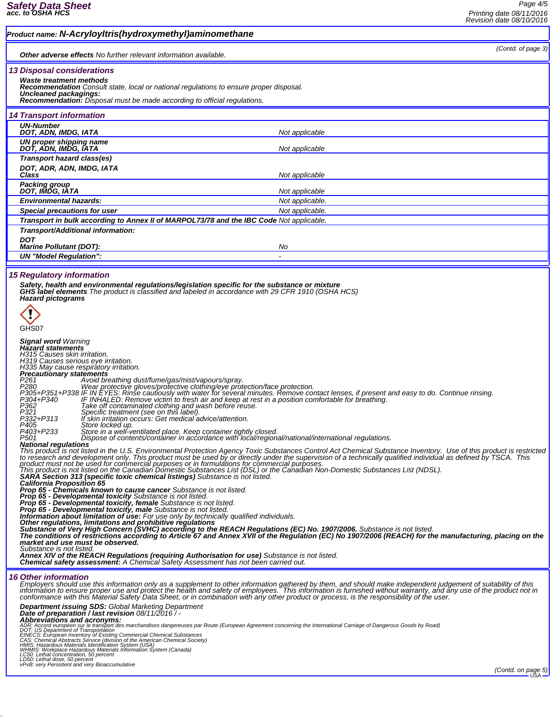## *Product name: N-Acryloyltris(hydroxymethyl)aminomethane (Contd. of page 3) Other adverse effects No further relevant information available. 13 Disposal considerations Waste treatment methods Recommendation Consult state, local or national regulations to ensure proper disposal. Uncleaned packagings: Recommendation: Disposal must be made according to official regulations. 14 Transport information UN-Number* **DOT, ADN, IMDG, IATA** *Not applicable Not applicable UN proper shipping name DOT, ADN, IMDG, IATA Not applicable Transport hazard class(es) DOT, ADR, ADN, IMDG, IATA Class Not applicable Packing group DOT, IMDG, IATA Not applicable Environmental hazards: Not applicable.* **Special precautions for user Not applicable. Not applicable. Not applicable.** *Transport in bulk according to Annex II of MARPOL73/78 and the IBC Code Not applicable. Transport/Additional information: DOT Marine Pollutant (DOT): No UN "Model Regulation": - 15 Regulatory information* Safety, health and environmental regulations/legislation specific for the substance or mixture<br>GHS label elements The product is classified and labeled in accordance with 29 CFR 1910 (OSHA HCS)<br>Hazard pictograms O GHS07 *Signal word Warning Hazard statements H315 Causes skin irritation. H319 Causes serious eye irritation. H335 May cause respiratory irritation. Precautionary statements* P261 *Avoid breathing dust/fume/gas/mist/vapours/spray.*<br>P280 Wear protective gloves/protective clothing/eye protection/face protection.<br>P305+P351+P338 IF IN EYES: Rinse cautiously with water for several minutes. Remove co *P321 Specific treatment (see on this label). P332+P313 If skin irritation occurs: Get medical advice/attention.* P405<br>P403+P233 Store in a well-ventilated place. Keep container tightly closed.<br>P501 Shoppose of contents/container in accordance with local/regional/national/international regulations.<br>**National regulations** This product is not listed in the U.S. Environmental Protection Agency Toxic Substances Control Act Chemical Substance Inventory. Use of this product is restricted<br>to research and development only. This product must be use *Prop 65 - Developmental toxicity, female Substance is not listed. Prop 65 - Developmental toxicity, male Substance is not listed.* Information about limitation of use: For use only by technically qualified individuals.<br>Other regulations, limitations and prohibitive regulations<br>Substance of Very High Concern (SVHC) according to the REACH Regulations (E *Substance is not listed. Annex XIV of the REACH Regulations (requiring Authorisation for use) Substance is not listed. Chemical safety assessment: A Chemical Safety Assessment has not been carried out. 16 Other information* Employers should use this information only as a supplement to other information gathered by them, and should make independent judgement of suitability of this<br>information to ensure proper use and protect the health and saf *Department issuing SDS: Global Marketing Department Date of preparation / last revision 08/11/2016 / -* **Abbreviations and acronyms:**<br>ADBrev**iations and acronyms:**<br>DOR: Accord européen sur le transport des marchandises dangereuses par Route (European Agreement concerning the International Carriage of Dangerous Goods by Road)

*vPvB: very Persistent and very Bioaccumulative*